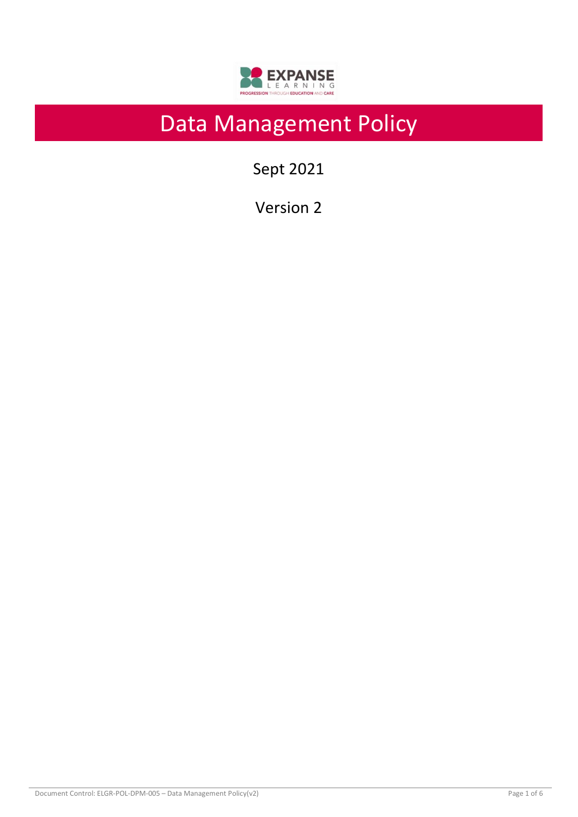

# Data Management Policy

Sept 2021

Version 2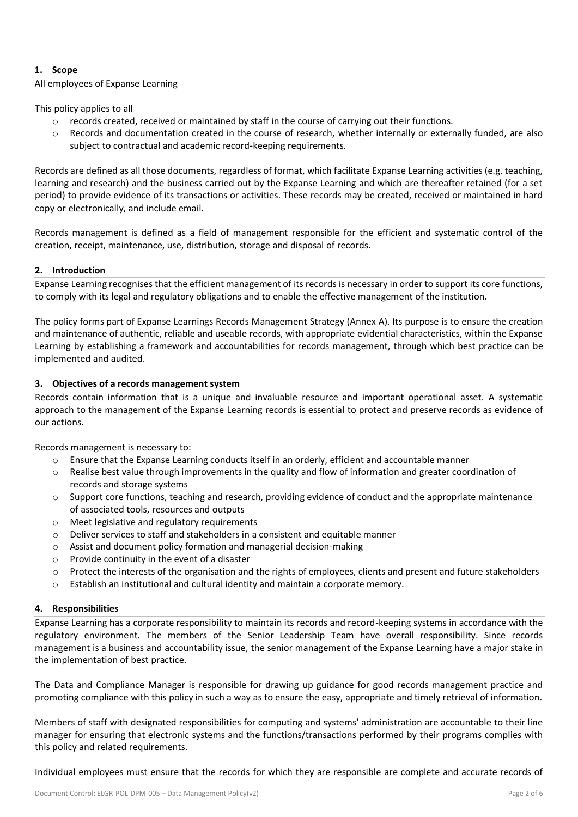# **1. Scope**

#### All employees of Expanse Learning

This policy applies to all

- o records created, received or maintained by staff in the course of carrying out their functions.
- o Records and documentation created in the course of research, whether internally or externally funded, are also subject to contractual and academic record-keeping requirements.

Records are defined as all those documents, regardless of format, which facilitate Expanse Learning activities (e.g. teaching, learning and research) and the business carried out by the Expanse Learning and which are thereafter retained (for a set period) to provide evidence of its transactions or activities. These records may be created, received or maintained in hard copy or electronically, and include email.

Records management is defined as a field of management responsible for the efficient and systematic control of the creation, receipt, maintenance, use, distribution, storage and disposal of records.

## **2. Introduction**

Expanse Learning recognises that the efficient management of its records is necessary in order to support its core functions, to comply with its legal and regulatory obligations and to enable the effective management of the institution.

The policy forms part of Expanse Learnings Records Management Strategy (Annex A). Its purpose is to ensure the creation and maintenance of authentic, reliable and useable records, with appropriate evidential characteristics, within the Expanse Learning by establishing a framework and accountabilities for records management, through which best practice can be implemented and audited.

## **3. Objectives of a records management system**

Records contain information that is a unique and invaluable resource and important operational asset. A systematic approach to the management of the Expanse Learning records is essential to protect and preserve records as evidence of our actions.

Records management is necessary to:

- o Ensure that the Expanse Learning conducts itself in an orderly, efficient and accountable manner
- o Realise best value through improvements in the quality and flow of information and greater coordination of records and storage systems
- $\circ$  Support core functions, teaching and research, providing evidence of conduct and the appropriate maintenance of associated tools, resources and outputs
- o Meet legislative and regulatory requirements
- o Deliver services to staff and stakeholders in a consistent and equitable manner
- o Assist and document policy formation and managerial decision-making
- o Provide continuity in the event of a disaster
- $\circ$  Protect the interests of the organisation and the rights of employees, clients and present and future stakeholders
- o Establish an institutional and cultural identity and maintain a corporate memory.

#### **4. Responsibilities**

Expanse Learning has a corporate responsibility to maintain its records and record-keeping systems in accordance with the regulatory environment. The members of the Senior Leadership Team have overall responsibility. Since records management is a business and accountability issue, the senior management of the Expanse Learning have a major stake in the implementation of best practice.

The Data and Compliance Manager is responsible for drawing up guidance for good records management practice and promoting compliance with this policy in such a way as to ensure the easy, appropriate and timely retrieval of information.

Members of staff with designated responsibilities for computing and systems' administration are accountable to their line manager for ensuring that electronic systems and the functions/transactions performed by their programs complies with this policy and related requirements.

Individual employees must ensure that the records for which they are responsible are complete and accurate records of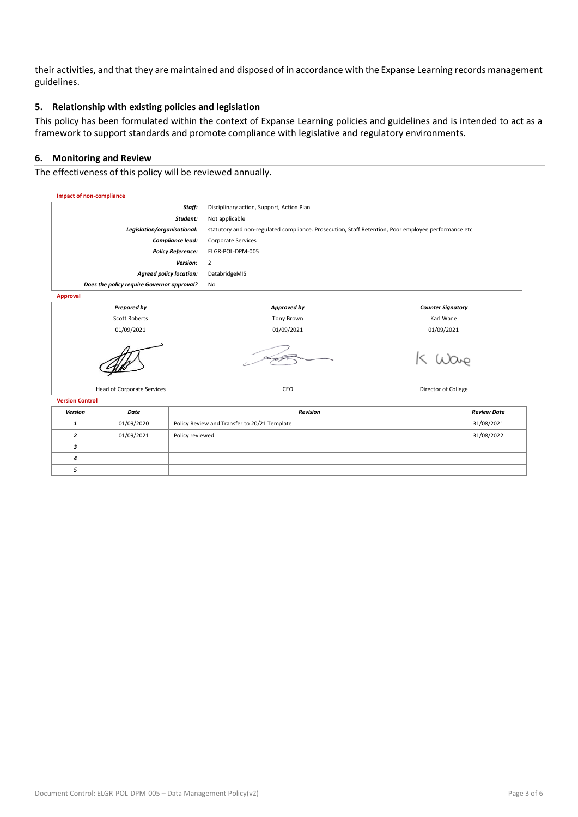their activities, and that they are maintained and disposed of in accordance with the Expanse Learning records management guidelines.

## **5. Relationship with existing policies and legislation**

This policy has been formulated within the context of Expanse Learning policies and guidelines and is intended to act as a framework to support standards and promote compliance with legislative and regulatory environments.

#### **6. Monitoring and Review**

The effectiveness of this policy will be reviewed annually.



| Version | Date       | <b>Revision</b>                              | <b>Review Date</b> |
|---------|------------|----------------------------------------------|--------------------|
|         | 01/09/2020 | Policy Review and Transfer to 20/21 Template | 31/08/2021         |
|         | 01/09/2021 | Policy reviewed                              | 31/08/2022         |
|         |            |                                              |                    |
| 4       |            |                                              |                    |
|         |            |                                              |                    |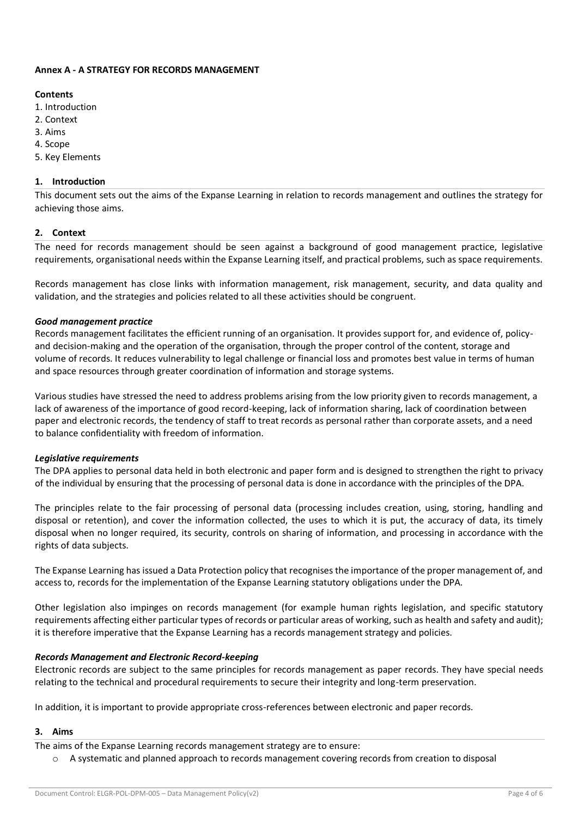#### **Annex A - A STRATEGY FOR RECORDS MANAGEMENT**

#### **Contents**

- 1. Introduction
- 2. Context
- 3. Aims
- 4. Scope
- 5. Key Elements

## **1. Introduction**

This document sets out the aims of the Expanse Learning in relation to records management and outlines the strategy for achieving those aims.

## **2. Context**

The need for records management should be seen against a background of good management practice, legislative requirements, organisational needs within the Expanse Learning itself, and practical problems, such as space requirements.

Records management has close links with information management, risk management, security, and data quality and validation, and the strategies and policies related to all these activities should be congruent.

## *Good management practice*

Records management facilitates the efficient running of an organisation. It provides support for, and evidence of, policyand decision-making and the operation of the organisation, through the proper control of the content, storage and volume of records. It reduces vulnerability to legal challenge or financial loss and promotes best value in terms of human and space resources through greater coordination of information and storage systems.

Various studies have stressed the need to address problems arising from the low priority given to records management, a lack of awareness of the importance of good record-keeping, lack of information sharing, lack of coordination between paper and electronic records, the tendency of staff to treat records as personal rather than corporate assets, and a need to balance confidentiality with freedom of information.

## *Legislative requirements*

The DPA applies to personal data held in both electronic and paper form and is designed to strengthen the right to privacy of the individual by ensuring that the processing of personal data is done in accordance with the principles of the DPA.

The principles relate to the fair processing of personal data (processing includes creation, using, storing, handling and disposal or retention), and cover the information collected, the uses to which it is put, the accuracy of data, its timely disposal when no longer required, its security, controls on sharing of information, and processing in accordance with the rights of data subjects.

The Expanse Learning has issued a Data Protection policy that recognises the importance of the proper management of, and access to, records for the implementation of the Expanse Learning statutory obligations under the DPA.

Other legislation also impinges on records management (for example human rights legislation, and specific statutory requirements affecting either particular types of records or particular areas of working, such as health and safety and audit); it is therefore imperative that the Expanse Learning has a records management strategy and policies.

## *Records Management and Electronic Record-keeping*

Electronic records are subject to the same principles for records management as paper records. They have special needs relating to the technical and procedural requirements to secure their integrity and long-term preservation.

In addition, it is important to provide appropriate cross-references between electronic and paper records.

## **3. Aims**

The aims of the Expanse Learning records management strategy are to ensure:

A systematic and planned approach to records management covering records from creation to disposal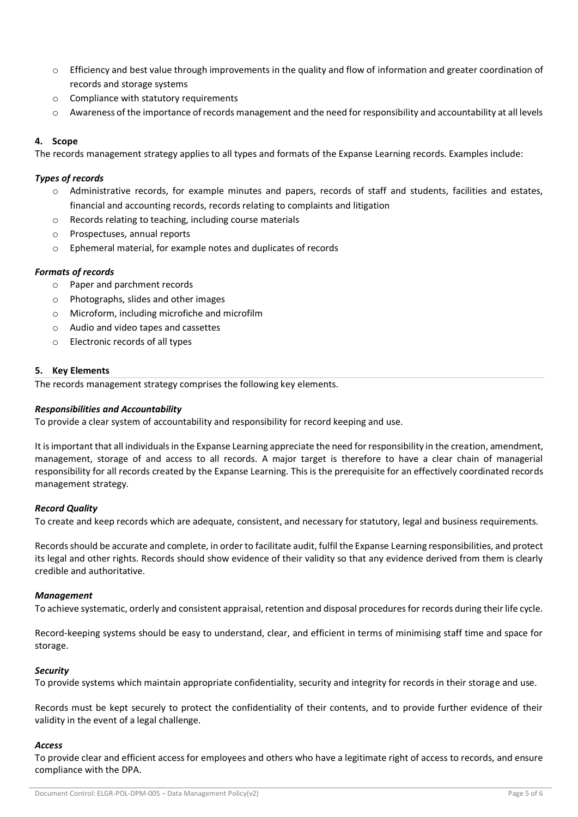- $\circ$  Efficiency and best value through improvements in the quality and flow of information and greater coordination of records and storage systems
- o Compliance with statutory requirements
- $\circ$  Awareness of the importance of records management and the need for responsibility and accountability at all levels

## **4. Scope**

The records management strategy applies to all types and formats of the Expanse Learning records. Examples include:

## *Types of records*

- o Administrative records, for example minutes and papers, records of staff and students, facilities and estates, financial and accounting records, records relating to complaints and litigation
- o Records relating to teaching, including course materials
- o Prospectuses, annual reports
- o Ephemeral material, for example notes and duplicates of records

## *Formats of records*

- o Paper and parchment records
- o Photographs, slides and other images
- o Microform, including microfiche and microfilm
- o Audio and video tapes and cassettes
- o Electronic records of all types

## **5. Key Elements**

The records management strategy comprises the following key elements.

## *Responsibilities and Accountability*

To provide a clear system of accountability and responsibility for record keeping and use.

It is important that all individuals in the Expanse Learning appreciate the need for responsibility in the creation, amendment, management, storage of and access to all records. A major target is therefore to have a clear chain of managerial responsibility for all records created by the Expanse Learning. This is the prerequisite for an effectively coordinated records management strategy.

## *Record Quality*

To create and keep records which are adequate, consistent, and necessary for statutory, legal and business requirements.

Records should be accurate and complete, in order to facilitate audit, fulfil the Expanse Learning responsibilities, and protect its legal and other rights. Records should show evidence of their validity so that any evidence derived from them is clearly credible and authoritative.

## *Management*

To achieve systematic, orderly and consistent appraisal, retention and disposal procedures for records during their life cycle.

Record-keeping systems should be easy to understand, clear, and efficient in terms of minimising staff time and space for storage.

## *Security*

To provide systems which maintain appropriate confidentiality, security and integrity for records in their storage and use.

Records must be kept securely to protect the confidentiality of their contents, and to provide further evidence of their validity in the event of a legal challenge.

## *Access*

To provide clear and efficient access for employees and others who have a legitimate right of access to records, and ensure compliance with the DPA.